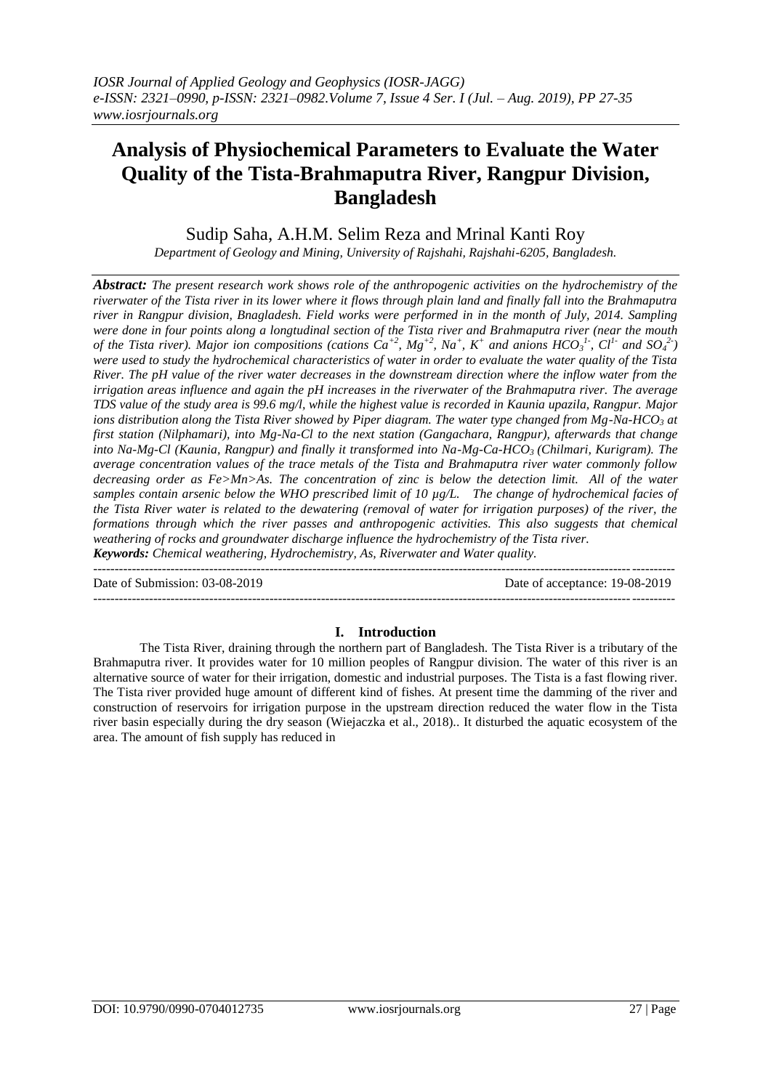# **Analysis of Physiochemical Parameters to Evaluate the Water Quality of the Tista-Brahmaputra River, Rangpur Division, Bangladesh**

Sudip Saha, A.H.M. Selim Reza and Mrinal Kanti Roy

*Department of Geology and Mining, University of Rajshahi, Rajshahi-6205, Bangladesh.*

*Abstract: The present research work shows role of the anthropogenic activities on the hydrochemistry of the riverwater of the Tista river in its lower where it flows through plain land and finally fall into the Brahmaputra river in Rangpur division, Bnagladesh. Field works were performed in in the month of July, 2014. Sampling were done in four points along a longtudinal section of the Tista river and Brahmaputra river (near the mouth*  of the Tista river). Major ion compositions (cations  $Ca^{+2}$ ,  $Mg^{+2}$ ,  $Na^+$ ,  $K^+$  and anions  $HCO_3^{\ 1}$ ,  $Cl^1$  and  $SO_4^{\ 2}$ ) *were used to study the hydrochemical characteristics of water in order to evaluate the water quality of the Tista River. The pH value of the river water decreases in the downstream direction where the inflow water from the irrigation areas influence and again the pH increases in the riverwater of the Brahmaputra river. The average TDS value of the study area is 99.6 mg/l, while the highest value is recorded in Kaunia upazila, Rangpur. Major ions distribution along the Tista River showed by Piper diagram. The water type changed from Mg-Na-HCO<sup>3</sup> at first station (Nilphamari), into Mg-Na-Cl to the next station (Gangachara, Rangpur), afterwards that change into Na-Mg-Cl (Kaunia, Rangpur) and finally it transformed into Na-Mg-Ca-HCO<sup>3</sup> (Chilmari, Kurigram). The average concentration values of the trace metals of the Tista and Brahmaputra river water commonly follow decreasing order as Fe>Mn>As. The concentration of zinc is below the detection limit. All of the water samples contain arsenic below the WHO prescribed limit of 10 µg/L. The change of hydrochemical facies of the Tista River water is related to the dewatering (removal of water for irrigation purposes) of the river, the formations through which the river passes and anthropogenic activities. This also suggests that chemical weathering of rocks and groundwater discharge influence the hydrochemistry of the Tista river. Keywords: Chemical weathering, Hydrochemistry, As, Riverwater and Water quality.* 

---------------------------------------------------------------------------------------------------------------------------------------

| Date of Submission: 03-08-2019 | Date of acceptance: 19-08-2019 |
|--------------------------------|--------------------------------|
|                                |                                |

## **I. Introduction**

The Tista River, draining through the northern part of Bangladesh. The Tista River is a tributary of the Brahmaputra river. It provides water for 10 million peoples of Rangpur division. The water of this river is an alternative source of water for their irrigation, domestic and industrial purposes. The Tista is a fast flowing river. The Tista river provided huge amount of different kind of fishes. At present time the damming of the river and construction of reservoirs for irrigation purpose in the upstream direction reduced the water flow in the Tista river basin especially during the dry season (Wiejaczka et al., 2018).. It disturbed the aquatic ecosystem of the area. The amount of fish supply has reduced in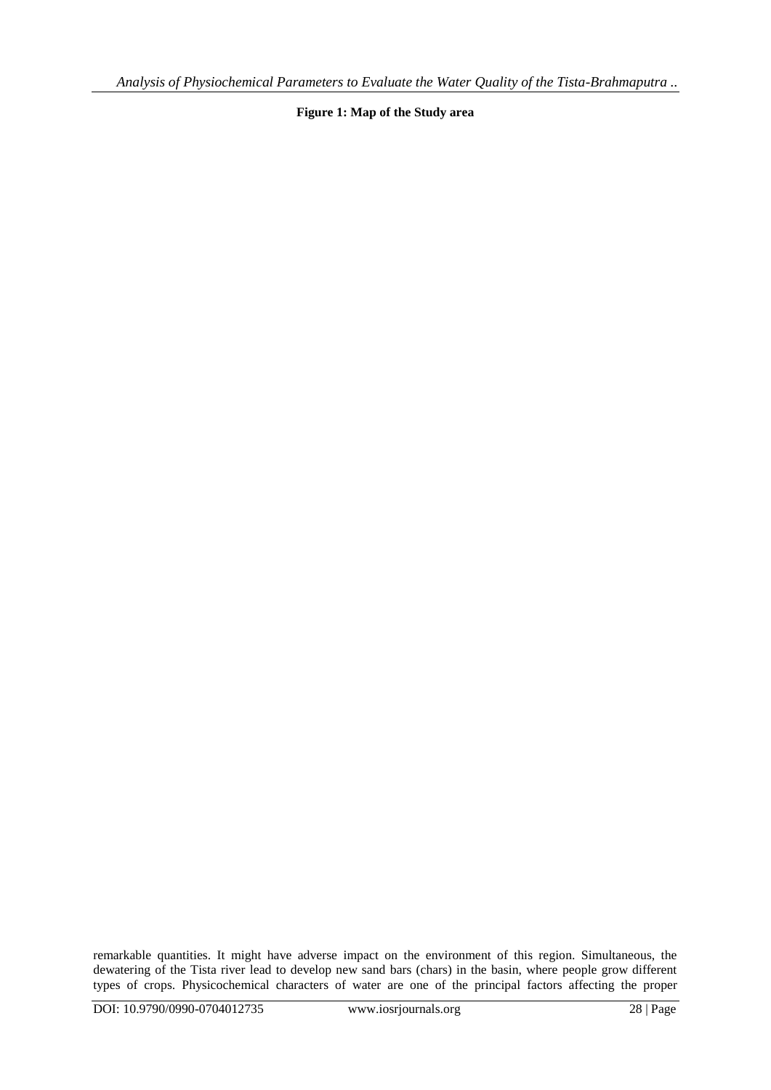**Figure 1: Map of the Study area**

remarkable quantities. It might have adverse impact on the environment of this region. Simultaneous, the dewatering of the Tista river lead to develop new sand bars (chars) in the basin, where people grow different types of crops. Physicochemical characters of water are one of the principal factors affecting the proper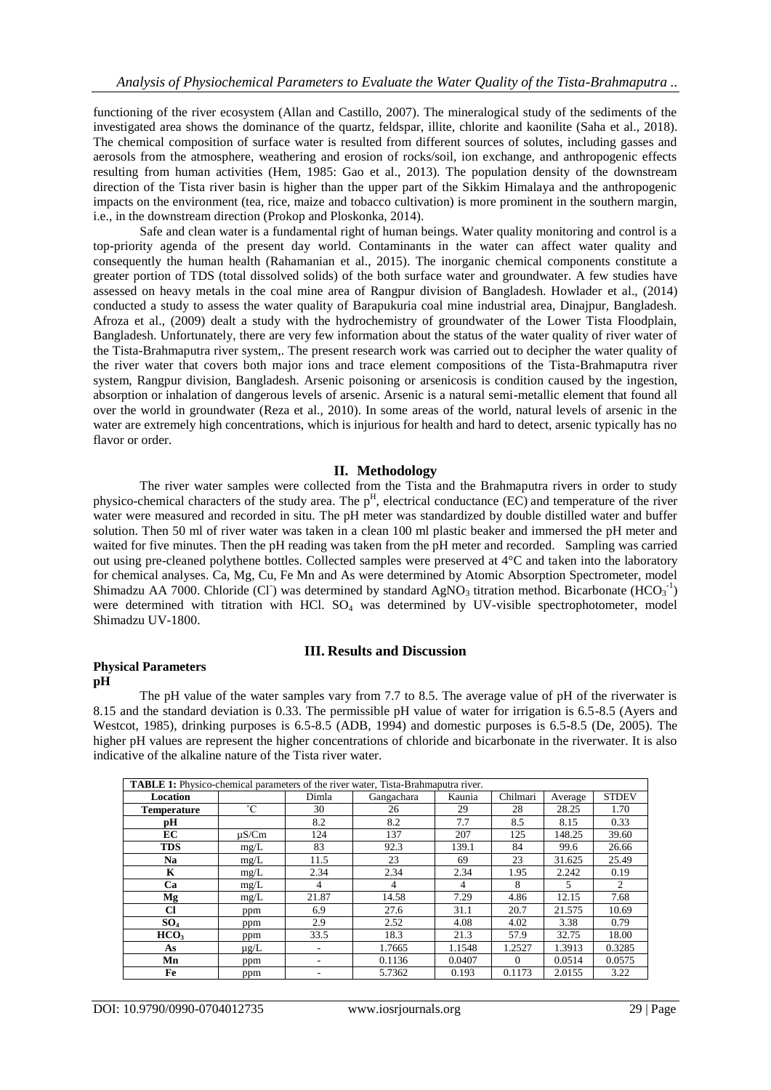functioning of the river ecosystem (Allan and Castillo, 2007). The mineralogical study of the sediments of the investigated area shows the dominance of the quartz, feldspar, illite, chlorite and kaonilite (Saha et al., 2018). The chemical composition of surface water is resulted from different sources of solutes, including gasses and aerosols from the atmosphere, weathering and erosion of rocks/soil, ion exchange, and anthropogenic effects resulting from human activities (Hem, 1985: Gao et al., 2013). The population density of the downstream direction of the Tista river basin is higher than the upper part of the Sikkim Himalaya and the anthropogenic impacts on the environment (tea, rice, maize and tobacco cultivation) is more prominent in the southern margin, i.e., in the downstream direction (Prokop and Ploskonka, 2014).

Safe and clean water is a fundamental right of human beings. Water quality monitoring and control is a top-priority agenda of the present day world. Contaminants in the water can affect water quality and consequently the human health (Rahamanian et al., 2015). The inorganic chemical components constitute a greater portion of TDS (total dissolved solids) of the both surface water and groundwater. A few studies have assessed on heavy metals in the coal mine area of Rangpur division of Bangladesh. Howlader et al., (2014) conducted a study to assess the water quality of Barapukuria coal mine industrial area, Dinajpur, Bangladesh. Afroza et al., (2009) dealt a study with the hydrochemistry of groundwater of the Lower Tista Floodplain, Bangladesh. Unfortunately, there are very few information about the status of the water quality of river water of the Tista-Brahmaputra river system,. The present research work was carried out to decipher the water quality of the river water that covers both major ions and trace element compositions of the Tista-Brahmaputra river system, Rangpur division, Bangladesh. Arsenic poisoning or arsenicosis is condition caused by the ingestion, absorption or inhalation of dangerous levels of arsenic. Arsenic is a natural semi-metallic element that found all over the world in groundwater (Reza et al., 2010). In some areas of the world, natural levels of arsenic in the water are extremely high concentrations, which is injurious for health and hard to detect, arsenic typically has no flavor or order.

## **II. Methodology**

The river water samples were collected from the Tista and the Brahmaputra rivers in order to study physico-chemical characters of the study area. The  $p<sup>H</sup>$ , electrical conductance (EC) and temperature of the river water were measured and recorded in situ. The pH meter was standardized by double distilled water and buffer solution. Then 50 ml of river water was taken in a clean 100 ml plastic beaker and immersed the pH meter and waited for five minutes. Then the pH reading was taken from the pH meter and recorded. Sampling was carried out using pre-cleaned polythene bottles. Collected samples were preserved at 4°C and taken into the laboratory for chemical analyses. Ca, Mg, Cu, Fe Mn and As were determined by Atomic Absorption Spectrometer, model Shimadzu AA 7000. Chloride (Cl<sup>-</sup>) was determined by standard AgNO<sub>3</sub> titration method. Bicarbonate (HCO<sub>3</sub><sup>-1</sup>) were determined with titration with HCl.  $SO_4$  was determined by UV-visible spectrophotometer, model Shimadzu UV-1800.

### **III. Results and Discussion**

#### **Physical Parameters pH**

The pH value of the water samples vary from 7.7 to 8.5. The average value of pH of the riverwater is 8.15 and the standard deviation is 0.33. The permissible pH value of water for irrigation is 6.5-8.5 (Ayers and Westcot, 1985), drinking purposes is 6.5-8.5 (ADB, 1994) and domestic purposes is 6.5-8.5 (De, 2005). The higher pH values are represent the higher concentrations of chloride and bicarbonate in the riverwater. It is also indicative of the alkaline nature of the Tista river water.

| <b>TABLE 1:</b> Physico-chemical parameters of the river water, Tista-Brahmaputra river. |             |       |            |        |          |         |              |  |
|------------------------------------------------------------------------------------------|-------------|-------|------------|--------|----------|---------|--------------|--|
| Location                                                                                 |             | Dimla | Gangachara | Kaunia | Chilmari | Average | <b>STDEV</b> |  |
| <b>Temperature</b>                                                                       | $^{\circ}C$ | 30    | 26         | 29     | 28       | 28.25   | 1.70         |  |
| рH                                                                                       |             | 8.2   | 8.2        | 7.7    | 8.5      | 8.15    | 0.33         |  |
| EC                                                                                       | $\mu$ S/Cm  | 124   | 137        | 207    | 125      | 148.25  | 39.60        |  |
| <b>TDS</b>                                                                               | mg/L        | 83    | 92.3       | 139.1  | 84       | 99.6    | 26.66        |  |
| <b>Na</b>                                                                                | mg/L        | 11.5  | 23         | 69     | 23       | 31.625  | 25.49        |  |
| K                                                                                        | mg/L        | 2.34  | 2.34       | 2.34   | 1.95     | 2.242   | 0.19         |  |
| Ca                                                                                       | mg/L        | 4     | 4          | 4      | 8        | 5       | 2            |  |
| Mg                                                                                       | mg/L        | 21.87 | 14.58      | 7.29   | 4.86     | 12.15   | 7.68         |  |
| <b>Cl</b>                                                                                | ppm         | 6.9   | 27.6       | 31.1   | 20.7     | 21.575  | 10.69        |  |
| SO <sub>4</sub>                                                                          | ppm         | 2.9   | 2.52       | 4.08   | 4.02     | 3.38    | 0.79         |  |
| HCO <sub>3</sub>                                                                         | ppm         | 33.5  | 18.3       | 21.3   | 57.9     | 32.75   | 18.00        |  |
| As                                                                                       | $\mu$ g/L   | ۰     | 1.7665     | 1.1548 | 1.2527   | 1.3913  | 0.3285       |  |
| Mn                                                                                       | ppm         |       | 0.1136     | 0.0407 | $\Omega$ | 0.0514  | 0.0575       |  |
| Fe                                                                                       | ppm         |       | 5.7362     | 0.193  | 0.1173   | 2.0155  | 3.22         |  |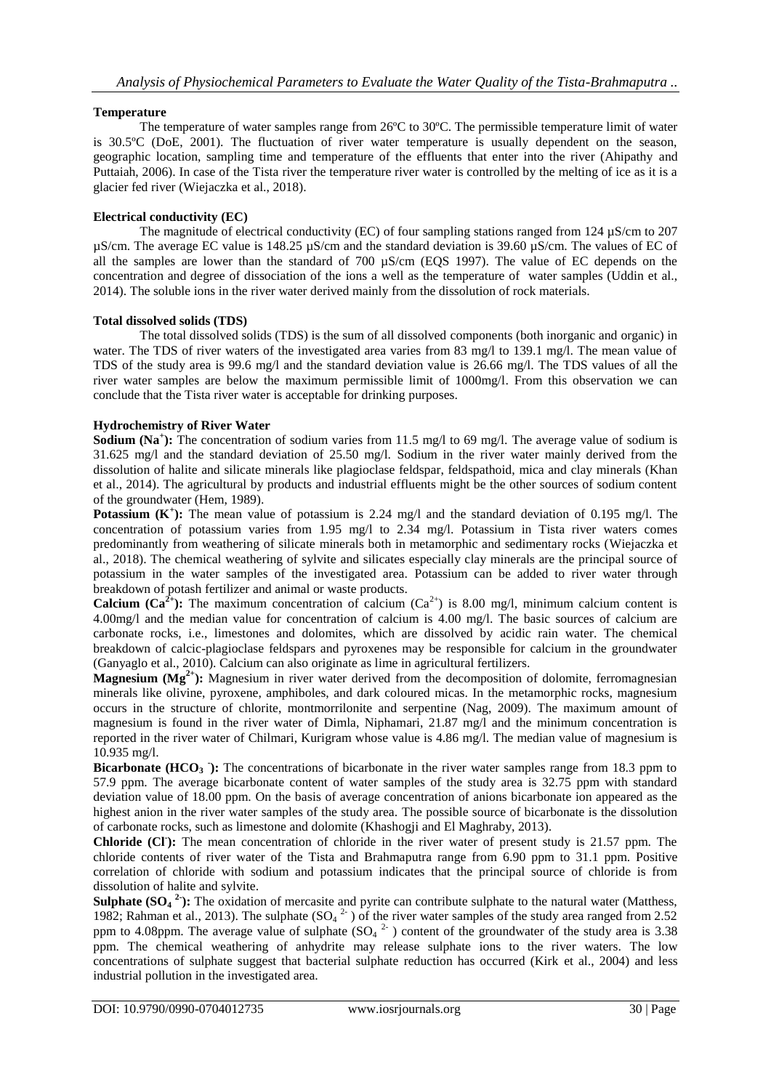## **Temperature**

The temperature of water samples range from 26ºC to 30ºC. The permissible temperature limit of water is 30.5ºC (DoE, 2001). The fluctuation of river water temperature is usually dependent on the season, geographic location, sampling time and temperature of the effluents that enter into the river (Ahipathy and Puttaiah, 2006). In case of the Tista river the temperature river water is controlled by the melting of ice as it is a glacier fed river (Wiejaczka et al., 2018).

## **Electrical conductivity (EC)**

The magnitude of electrical conductivity (EC) of four sampling stations ranged from 124  $\mu$ S/cm to 207 µS/cm. The average EC value is 148.25 µS/cm and the standard deviation is 39.60 µS/cm. The values of EC of all the samples are lower than the standard of 700 µS/cm (EQS 1997). The value of EC depends on the concentration and degree of dissociation of the ions a well as the temperature of water samples (Uddin et al., 2014). The soluble ions in the river water derived mainly from the dissolution of rock materials.

### **Total dissolved solids (TDS)**

The total dissolved solids (TDS) is the sum of all dissolved components (both inorganic and organic) in water. The TDS of river waters of the investigated area varies from 83 mg/l to 139.1 mg/l. The mean value of TDS of the study area is 99.6 mg/l and the standard deviation value is 26.66 mg/l. The TDS values of all the river water samples are below the maximum permissible limit of 1000mg/l. From this observation we can conclude that the Tista river water is acceptable for drinking purposes.

### **Hydrochemistry of River Water**

**Sodium (Na<sup>+</sup>):** The concentration of sodium varies from 11.5 mg/l to 69 mg/l. The average value of sodium is 31.625 mg/l and the standard deviation of 25.50 mg/l. Sodium in the river water mainly derived from the dissolution of halite and silicate minerals like plagioclase feldspar, feldspathoid, mica and clay minerals (Khan et al., 2014). The agricultural by products and industrial effluents might be the other sources of sodium content of the groundwater (Hem, 1989).

**Potassium**  $(K^+)$ **: The mean value of potassium is 2.24 mg/l and the standard deviation of 0.195 mg/l. The** concentration of potassium varies from 1.95 mg/l to 2.34 mg/l. Potassium in Tista river waters comes predominantly from weathering of silicate minerals both in metamorphic and sedimentary rocks (Wiejaczka et al., 2018). The chemical weathering of sylvite and silicates especially clay minerals are the principal source of potassium in the water samples of the investigated area. Potassium can be added to river water through breakdown of potash fertilizer and animal or waste products.

**Calcium (Ca<sup>2+</sup>):** The maximum concentration of calcium (Ca<sup>2+</sup>) is 8.00 mg/l, minimum calcium content is 4.00mg/l and the median value for concentration of calcium is 4.00 mg/l. The basic sources of calcium are carbonate rocks, i.e., limestones and dolomites, which are dissolved by acidic rain water. The chemical breakdown of calcic-plagioclase feldspars and pyroxenes may be responsible for calcium in the groundwater (Ganyaglo et al., 2010). Calcium can also originate as lime in agricultural fertilizers.

**Magnesium (Mg<sup>2+</sup>):** Magnesium in river water derived from the decomposition of dolomite, ferromagnesian minerals like olivine, pyroxene, amphiboles, and dark coloured micas. In the metamorphic rocks, magnesium occurs in the structure of chlorite, montmorrilonite and serpentine (Nag, 2009). The maximum amount of magnesium is found in the river water of Dimla, Niphamari, 21.87 mg/l and the minimum concentration is reported in the river water of Chilmari, Kurigram whose value is 4.86 mg/l. The median value of magnesium is 10.935 mg/l.

**Bicarbonate** (HCO<sub>3</sub>): The concentrations of bicarbonate in the river water samples range from 18.3 ppm to 57.9 ppm. The average bicarbonate content of water samples of the study area is 32.75 ppm with standard deviation value of 18.00 ppm. On the basis of average concentration of anions bicarbonate ion appeared as the highest anion in the river water samples of the study area. The possible source of bicarbonate is the dissolution of carbonate rocks, such as limestone and dolomite (Khashogji and El Maghraby, 2013).

**Chloride (CI):** The mean concentration of chloride in the river water of present study is 21.57 ppm. The chloride contents of river water of the Tista and Brahmaputra range from 6.90 ppm to 31.1 ppm. Positive correlation of chloride with sodium and potassium indicates that the principal source of chloride is from dissolution of halite and sylvite.

**Sulphate**  $(SO_4^2)$ **: The oxidation of mercasite and pyrite can contribute sulphate to the natural water (Matthess,** 1982; Rahman et al., 2013). The sulphate  $(SO<sub>4</sub><sup>2</sup>)$  of the river water samples of the study area ranged from 2.52 ppm to 4.08ppm. The average value of sulphate  $(SO<sub>4</sub> <sup>2</sup>$ ) content of the groundwater of the study area is 3.38 ppm. The chemical weathering of anhydrite may release sulphate ions to the river waters. The low concentrations of sulphate suggest that bacterial sulphate reduction has occurred (Kirk et al., 2004) and less industrial pollution in the investigated area.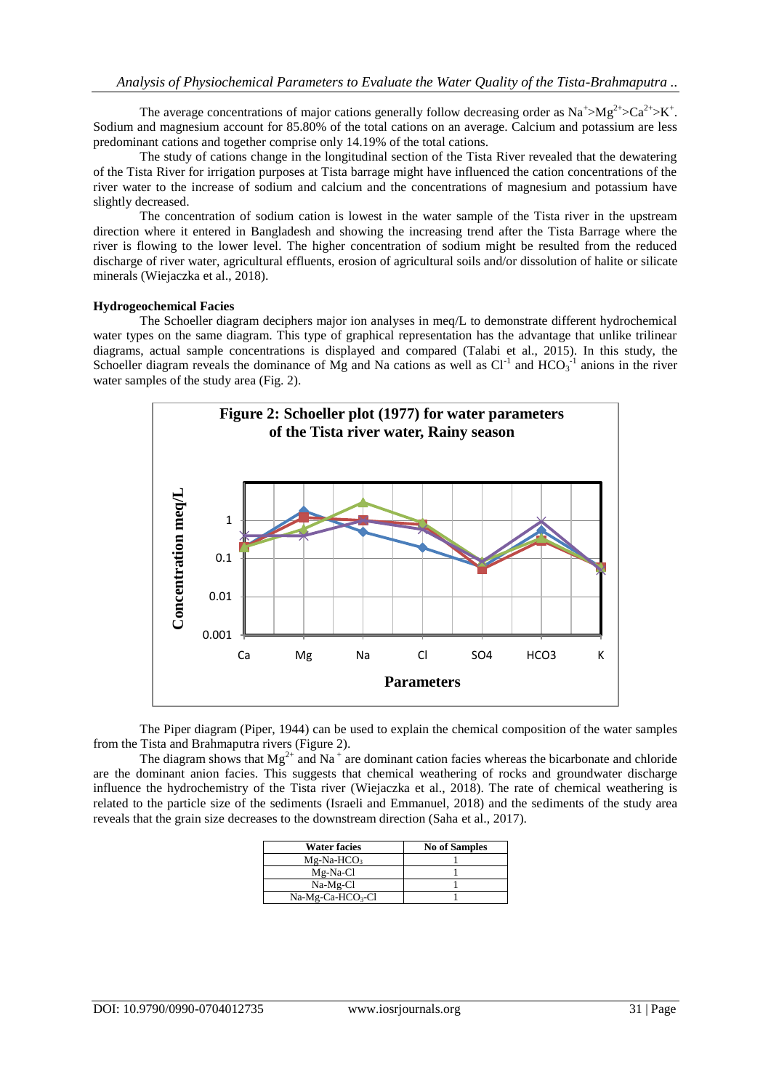The average concentrations of major cations generally follow decreasing order as  $\text{Na}^{\text{+}}>\text{Mg}^{\text{2+}}>\text{Ca}^{\text{2+}}>\text{K}^{\text{+}}$ . Sodium and magnesium account for 85.80% of the total cations on an average. Calcium and potassium are less predominant cations and together comprise only 14.19% of the total cations.

The study of cations change in the longitudinal section of the Tista River revealed that the dewatering of the Tista River for irrigation purposes at Tista barrage might have influenced the cation concentrations of the river water to the increase of sodium and calcium and the concentrations of magnesium and potassium have slightly decreased.

The concentration of sodium cation is lowest in the water sample of the Tista river in the upstream direction where it entered in Bangladesh and showing the increasing trend after the Tista Barrage where the river is flowing to the lower level. The higher concentration of sodium might be resulted from the reduced discharge of river water, agricultural effluents, erosion of agricultural soils and/or dissolution of halite or silicate minerals (Wiejaczka et al., 2018).

#### **Hydrogeochemical Facies**

The Schoeller diagram deciphers major ion analyses in meq/L to demonstrate different hydrochemical water types on the same diagram. This type of graphical representation has the advantage that unlike trilinear diagrams, actual sample concentrations is displayed and compared (Talabi et al., 2015). In this study, the Schoeller diagram reveals the dominance of Mg and Na cations as well as  $Cl<sup>-1</sup>$  and  $HCO<sub>3</sub><sup>-1</sup>$  anions in the river water samples of the study area (Fig. 2).



The Piper diagram (Piper, 1944) can be used to explain the chemical composition of the water samples from the Tista and Brahmaputra rivers (Figure 2).

The diagram shows that  $Mg^{2+}$  and Na<sup>+</sup> are dominant cation facies whereas the bicarbonate and chloride are the dominant anion facies. This suggests that chemical weathering of rocks and groundwater discharge influence the hydrochemistry of the Tista river (Wiejaczka et al., 2018). The rate of chemical weathering is related to the particle size of the sediments (Israeli and Emmanuel, 2018) and the sediments of the study area reveals that the grain size decreases to the downstream direction (Saha et al., 2017).

| <b>Water facies</b> | <b>No of Samples</b> |
|---------------------|----------------------|
| $Mg-Na-HCO3$        |                      |
| Mg-Na-Cl            |                      |
| $Na-Mg-Cl$          |                      |
| $Na-Mg-Ca-HCO3-Cl$  |                      |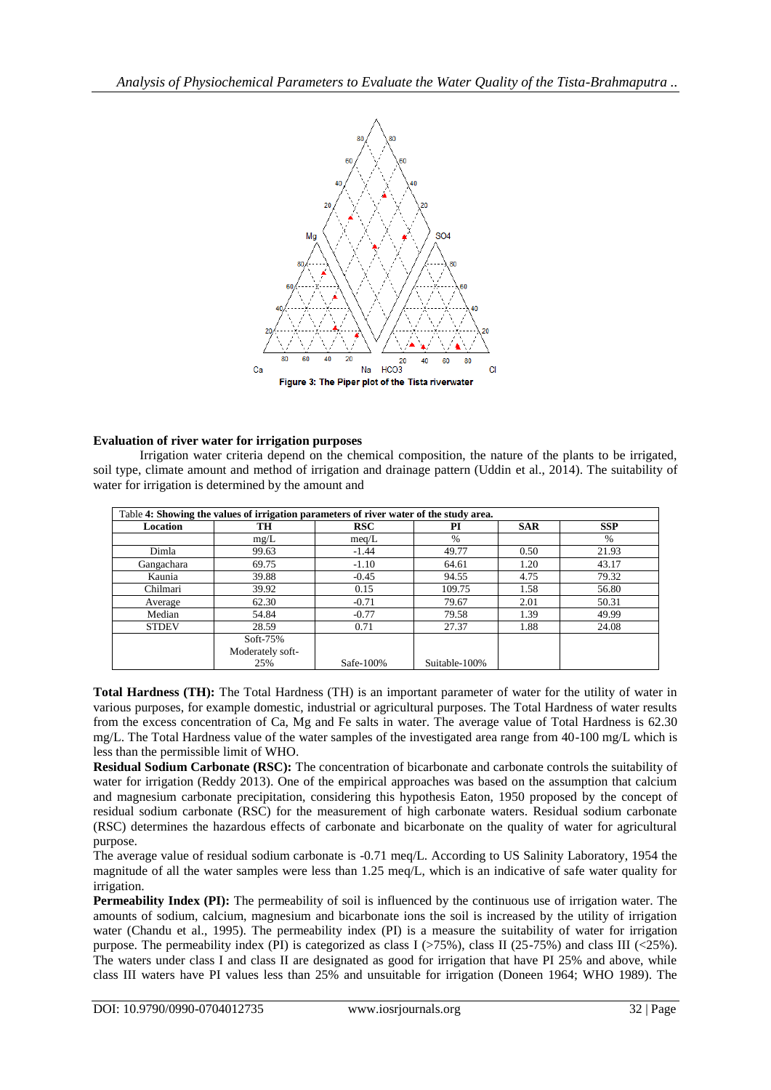

## **Evaluation of river water for irrigation purposes**

Irrigation water criteria depend on the chemical composition, the nature of the plants to be irrigated, soil type, climate amount and method of irrigation and drainage pattern (Uddin et al., 2014). The suitability of water for irrigation is determined by the amount and

| Table 4: Showing the values of irrigation parameters of river water of the study area. |                         |            |               |            |            |  |  |
|----------------------------------------------------------------------------------------|-------------------------|------------|---------------|------------|------------|--|--|
| Location                                                                               | TH                      | <b>RSC</b> | РI            | <b>SAR</b> | <b>SSP</b> |  |  |
|                                                                                        | mg/L                    | meq/L      | $\%$          |            | $\%$       |  |  |
| Dimla                                                                                  | 99.63                   | $-1.44$    | 49.77         | 0.50       | 21.93      |  |  |
| Gangachara                                                                             | 69.75                   | $-1.10$    | 64.61         | 1.20       | 43.17      |  |  |
| Kaunia                                                                                 | 39.88                   | $-0.45$    | 94.55         | 4.75       | 79.32      |  |  |
| Chilmari                                                                               | 39.92                   | 0.15       | 109.75        | 1.58       | 56.80      |  |  |
| Average                                                                                | 62.30                   | $-0.71$    | 79.67         | 2.01       | 50.31      |  |  |
| Median                                                                                 | 54.84                   | $-0.77$    | 79.58         | 1.39       | 49.99      |  |  |
| <b>STDEV</b>                                                                           | 28.59                   | 0.71       | 27.37         | 1.88       | 24.08      |  |  |
|                                                                                        | Soft-75%                |            |               |            |            |  |  |
|                                                                                        | Moderately soft-<br>25% | Safe-100%  | Suitable-100% |            |            |  |  |

**Total Hardness (TH):** The Total Hardness (TH) is an important parameter of water for the utility of water in various purposes, for example domestic, industrial or agricultural purposes. The Total Hardness of water results from the excess concentration of Ca, Mg and Fe salts in water. The average value of Total Hardness is 62.30 mg/L. The Total Hardness value of the water samples of the investigated area range from 40-100 mg/L which is less than the permissible limit of WHO.

**Residual Sodium Carbonate (RSC):** The concentration of bicarbonate and carbonate controls the suitability of water for irrigation (Reddy 2013). One of the empirical approaches was based on the assumption that calcium and magnesium carbonate precipitation, considering this hypothesis Eaton, 1950 proposed by the concept of residual sodium carbonate (RSC) for the measurement of high carbonate waters. Residual sodium carbonate (RSC) determines the hazardous effects of carbonate and bicarbonate on the quality of water for agricultural purpose.

The average value of residual sodium carbonate is -0.71 meq/L. According to US Salinity Laboratory, 1954 the magnitude of all the water samples were less than 1.25 meq/L, which is an indicative of safe water quality for irrigation.

**Permeability Index (PI):** The permeability of soil is influenced by the continuous use of irrigation water. The amounts of sodium, calcium, magnesium and bicarbonate ions the soil is increased by the utility of irrigation water (Chandu et al., 1995). The permeability index (PI) is a measure the suitability of water for irrigation purpose. The permeability index (PI) is categorized as class I ( $>75\%$ ), class II ( $25-75\%$ ) and class III ( $<25\%$ ). The waters under class I and class II are designated as good for irrigation that have PI 25% and above, while class III waters have PI values less than 25% and unsuitable for irrigation (Doneen 1964; WHO 1989). The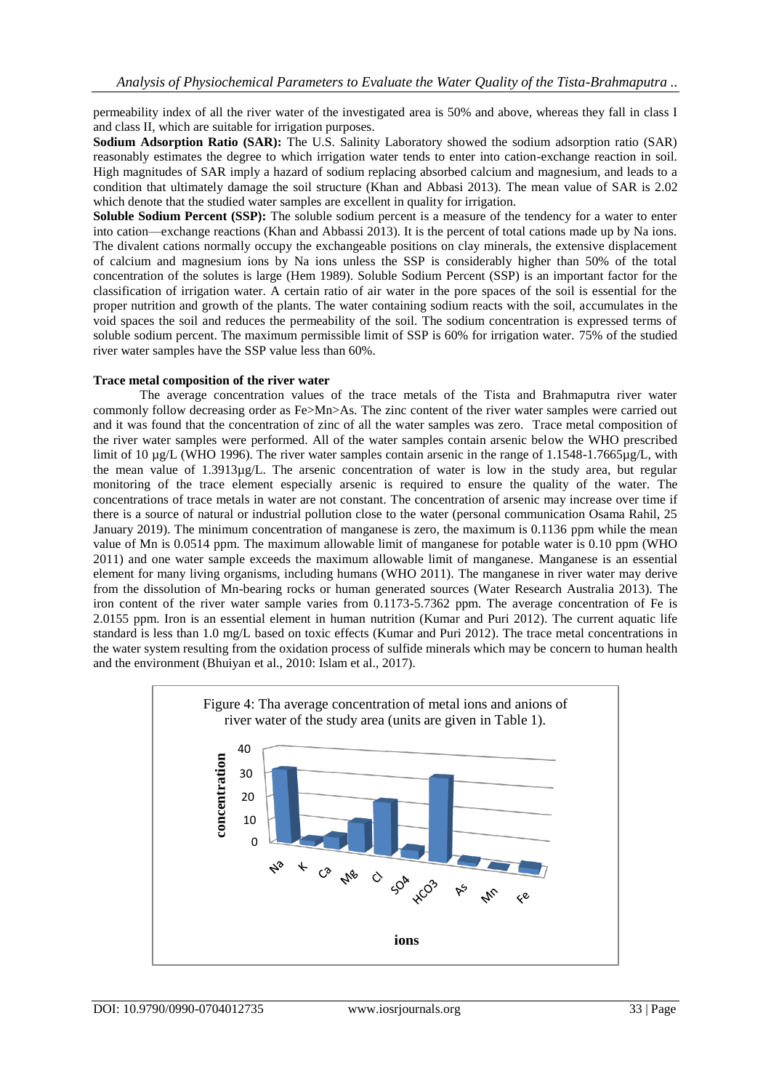permeability index of all the river water of the investigated area is 50% and above, whereas they fall in class I and class II, which are suitable for irrigation purposes.

**Sodium Adsorption Ratio (SAR):** The U.S. Salinity Laboratory showed the sodium adsorption ratio (SAR) reasonably estimates the degree to which irrigation water tends to enter into cation-exchange reaction in soil. High magnitudes of SAR imply a hazard of sodium replacing absorbed calcium and magnesium, and leads to a condition that ultimately damage the soil structure (Khan and Abbasi 2013). The mean value of SAR is 2.02 which denote that the studied water samples are excellent in quality for irrigation.

**Soluble Sodium Percent (SSP):** The soluble sodium percent is a measure of the tendency for a water to enter into cation—exchange reactions (Khan and Abbassi 2013). It is the percent of total cations made up by Na ions. The divalent cations normally occupy the exchangeable positions on clay minerals, the extensive displacement of calcium and magnesium ions by Na ions unless the SSP is considerably higher than 50% of the total concentration of the solutes is large (Hem 1989). Soluble Sodium Percent (SSP) is an important factor for the classification of irrigation water. A certain ratio of air water in the pore spaces of the soil is essential for the proper nutrition and growth of the plants. The water containing sodium reacts with the soil, accumulates in the void spaces the soil and reduces the permeability of the soil. The sodium concentration is expressed terms of soluble sodium percent. The maximum permissible limit of SSP is 60% for irrigation water. 75% of the studied river water samples have the SSP value less than 60%.

#### **Trace metal composition of the river water**

The average concentration values of the trace metals of the Tista and Brahmaputra river water commonly follow decreasing order as Fe>Mn>As. The zinc content of the river water samples were carried out and it was found that the concentration of zinc of all the water samples was zero. Trace metal composition of the river water samples were performed. All of the water samples contain arsenic below the WHO prescribed limit of 10 µg/L (WHO 1996). The river water samples contain arsenic in the range of 1.1548-1.7665µg/L, with the mean value of 1.3913µg/L. The arsenic concentration of water is low in the study area, but regular monitoring of the trace element especially arsenic is required to ensure the quality of the water. The concentrations of trace metals in water are not constant. The concentration of arsenic may increase over time if there is a source of natural or industrial pollution close to the water (personal communication Osama Rahil, 25 January 2019). The minimum concentration of manganese is zero, the maximum is 0.1136 ppm while the mean value of Mn is 0.0514 ppm. The maximum allowable limit of manganese for potable water is 0.10 ppm (WHO 2011) and one water sample exceeds the maximum allowable limit of manganese. Manganese is an essential element for many living organisms, including humans (WHO 2011). The manganese in river water may derive from the dissolution of Mn-bearing rocks or human generated sources (Water Research Australia 2013). The iron content of the river water sample varies from 0.1173-5.7362 ppm. The average concentration of Fe is 2.0155 ppm. Iron is an essential element in human nutrition (Kumar and Puri 2012). The current aquatic life standard is less than 1.0 mg/L based on toxic effects (Kumar and Puri 2012). The trace metal concentrations in the water system resulting from the oxidation process of sulfide minerals which may be concern to human health and the environment (Bhuiyan et al., 2010: Islam et al., 2017).

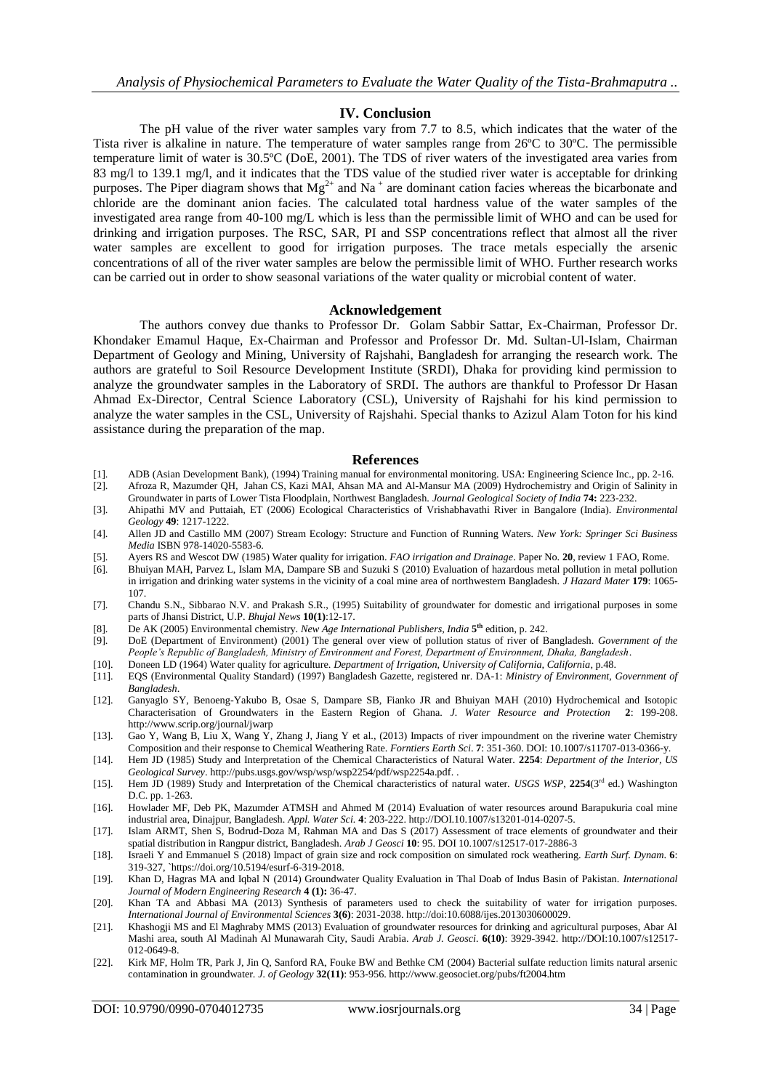## **IV. Conclusion**

The pH value of the river water samples vary from 7.7 to 8.5, which indicates that the water of the Tista river is alkaline in nature. The temperature of water samples range from 26ºC to 30ºC. The permissible temperature limit of water is 30.5ºC (DoE, 2001). The TDS of river waters of the investigated area varies from 83 mg/l to 139.1 mg/l, and it indicates that the TDS value of the studied river water is acceptable for drinking purposes. The Piper diagram shows that  $Mg^{2+}$  and Na<sup>+</sup> are dominant cation facies whereas the bicarbonate and chloride are the dominant anion facies. The calculated total hardness value of the water samples of the investigated area range from 40-100 mg/L which is less than the permissible limit of WHO and can be used for drinking and irrigation purposes. The RSC, SAR, PI and SSP concentrations reflect that almost all the river water samples are excellent to good for irrigation purposes. The trace metals especially the arsenic concentrations of all of the river water samples are below the permissible limit of WHO. Further research works can be carried out in order to show seasonal variations of the water quality or microbial content of water.

#### **Acknowledgement**

The authors convey due thanks to Professor Dr. Golam Sabbir Sattar, Ex-Chairman, Professor Dr. Khondaker Emamul Haque, Ex-Chairman and Professor and Professor Dr. Md. Sultan-Ul-Islam, Chairman Department of Geology and Mining, University of Rajshahi, Bangladesh for arranging the research work. The authors are grateful to Soil Resource Development Institute (SRDI), Dhaka for providing kind permission to analyze the groundwater samples in the Laboratory of SRDI. The authors are thankful to Professor Dr Hasan Ahmad Ex-Director, Central Science Laboratory (CSL), University of Rajshahi for his kind permission to analyze the water samples in the CSL, University of Rajshahi. Special thanks to Azizul Alam Toton for his kind assistance during the preparation of the map.

#### **References**

- [1]. ADB (Asian Development Bank), (1994) Training manual for environmental monitoring. USA: Engineering Science Inc., pp. 2-16. [2]. Afroza R, Mazumder QH, Jahan CS, Kazi MAI, Ahsan MA and Al-Mansur MA (2009) Hydrochemistry and Origin of Salinity in
- Groundwater in parts of Lower Tista Floodplain, Northwest Bangladesh. *Journal Geological Society of India* **74:** 223-232. [3]. Ahipathi MV and Puttaiah, ET (2006) Ecological Characteristics of Vrishabhavathi River in Bangalore (India). *Environmental Geology* **49**: 1217-1222.
- [4]. Allen JD and Castillo MM (2007) Stream Ecology: Structure and Function of Running Waters. *New York: Springer Sci Business Media* ISBN 978-14020-5583-6.
- [5]. Ayers RS and Wescot DW (1985) Water quality for irrigation. *FAO irrigation and Drainage*. Paper No. **20**, review 1 FAO, Rome.
- [6]. Bhuiyan MAH, Parvez L, Islam MA, Dampare SB and Suzuki S (2010) Evaluation of hazardous metal pollution in metal pollution in irrigation and drinking water systems in the vicinity of a coal mine area of northwestern Bangladesh. *J Hazard Mater* **179**: 1065- 107.
- [7]. Chandu S.N., Sibbarao N.V. and Prakash S.R., (1995) Suitability of groundwater for domestic and irrigational purposes in some parts of Jhansi District, U.P. *Bhujal News* **10(1)**:12-17.
- [8]. De AK (2005) Environmental chemistry. *New Age International Publishers, India* **5 th** edition, p. 242.
- [9]. DoE (Department of Environment) (2001) The general over view of pollution status of river of Bangladesh. *Government of the People's Republic of Bangladesh, Ministry of Environment and Forest, Department of Environment, Dhaka, Bangladesh*.
- [10]. Doneen LD (1964) Water quality for agriculture. *Department of Irrigation, University of California, California*, p.48.
- [11]. EQS (Environmental Quality Standard) (1997) Bangladesh Gazette, registered nr. DA-1: *Ministry of Environment, Government of Bangladesh*.
- [12]. Ganyaglo SY, Benoeng-Yakubo B, Osae S, Dampare SB, Fianko JR and Bhuiyan MAH (2010) Hydrochemical and Isotopic Characterisation of Groundwaters in the Eastern Region of Ghana. *J. Water Resource and Protection* **2**: 199-208. <http://www.scrip.org/journal/jwarp>
- [13]. Gao Y, Wang B, Liu X, Wang Y, Zhang J, Jiang Y et al., (2013) Impacts of river impoundment on the riverine water Chemistry Composition and their response to Chemical Weathering Rate. *Forntiers Earth Sci*. **7**: 351-360. DOI: 10.1007/s11707-013-0366-y.
- [14]. Hem JD (1985) Study and Interpretation of the Chemical Characteristics of Natural Water. **2254**: *Department of the Interior, US Geological Survey*[. http://pubs.usgs.gov/wsp/wsp/wsp2254/pdf/wsp2254a.pdf.](http://pubs.usgs.gov/wsp/wsp/wsp2254/pdf/wsp2254a.pdf) .
- [15]. Hem JD (1989) Study and Interpretation of the Chemical characteristics of natural water. *USGS WSP*, **2254**(3rd ed.) Washington D.C. pp. 1-263.
- [16]. Howlader MF, Deb PK, Mazumder ATMSH and Ahmed M (2014) Evaluation of water resources around Barapukuria coal mine industrial area, Dinajpur, Bangladesh. *Appl. Water Sci.* **4**: 203-222[. http://DOI.10.1007/s13201-014-0207-5.](http://doi.10.1007/s13201-014-0207-5)
- [17]. Islam ARMT, Shen S, Bodrud-Doza M, Rahman MA and Das S (2017) Assessment of trace elements of groundwater and their spatial distribution in Rangpur district, Bangladesh. *Arab J Geosci* **10**: 95. DOI 10.1007/s12517-017-2886-3
- [18]. Israeli Y and Emmanuel S (2018) Impact of grain size and rock composition on simulated rock weathering. *Earth Surf. Dynam*. **6**: 319-327, `https://doi.org/10.5194/esurf-6-319-2018.
- [19]. Khan D, Hagras MA and Iqbal N (2014) Groundwater Quality Evaluation in Thal Doab of Indus Basin of Pakistan. *International Journal of Modern Engineering Research* **4 (1):** 36-47.
- [20]. Khan TA and Abbasi MA (2013) Synthesis of parameters used to check the suitability of water for irrigation purposes. *International Journal of Environmental Sciences* **3(6)**: 2031-2038[. http://doi:10.6088/ijes.2013030600029.](http://doi:10.6088/ijes.2013030600029)
- [21]. Khashogji MS and El Maghraby MMS (2013) Evaluation of groundwater resources for drinking and agricultural purposes, Abar Al Mashi area, south Al Madinah Al Munawarah City, Saudi Arabia. *Arab J. Geosci.* **6(10)**: 3929-3942. [http://DOI:10.1007/s12517-](http://DOI:10.1007/s12517-012-0649-8) [012-0649-8.](http://DOI:10.1007/s12517-012-0649-8)
- [22]. Kirk MF, Holm TR, Park J, Jin Q, Sanford RA, Fouke BW and Bethke CM (2004) Bacterial sulfate reduction limits natural arsenic contamination in groundwater. *J. of Geology* **32(11)**: 953-956[. http://www.geosociet.org/pubs/ft2004.htm](http://www.geosociet.org/pubs/ft2004.htm)